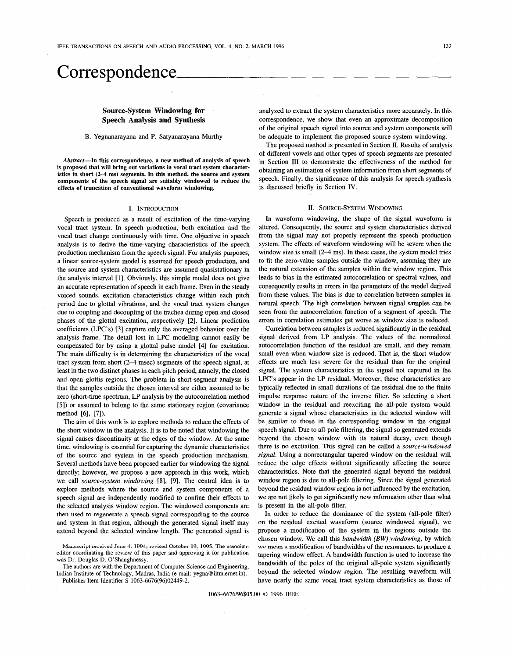# **Correspondence**

# **Source-System Windowing for Speech Analysis and Synthesis**

## B. Yegnanarayana and P. Satyanarayana Murthy

*Abstract-In* **this correspondence, a new method of analysis of speech is proposed that will bring out variations in vocal tract system character**istics in short (2-4 ms) segments. In this method, the source and system **components of the speech signal are suitably windowed to reduce the effects of truncation of conventional waveform windowing.** 

#### I. INTRODUCTION

Speech is produced as a result of excitation of the time-varying vocal tract system. In speech production, both excitation and the vocal tract change continuously with time. One objective in speech analysis is to derive the time-varying characteristics of the speech production mechanism from the speech signal. For analysis purposes, a linear source-system model is assumed for speech production, and the source and system characteristics are assumed quasistationary in the analysis interval [1]. Obviously, this simple model does not give an accurate representation of speech in each frame. Even in the steady voiced sounds, excitation characteristics change within each pitch period due to glottal vibrations, and the vocal tract system changes due to coupling and decoupling of the trachea during open and closed phases of the glottal excitation, respectively [2]. Linear prediction coefficients (LPC's) [3] capture only the averaged behavior over the analysis frame. The detail lost in LPC modeling cannot easily be compensated for by using a glottal pulse model **[4]** for excitation. The main difficulty is in determining the characteristics of the vocal tract system from short *(2-4* msec) segments of the speech signal, at least in the two distinct phases in each pitch period, namely, the closed and open glottis regions. The problem in short-segment analysis is that the samples outside the chosen interval are either assumed to be zero (short-time spectrum, LP analysis by the autocorrelation method **[SI)** or assumed to belong to the same stationary region (covariance method *[6],* **[7]).** 

The aim of this work is to explore methods to reduce the effects of the short window in the analysis. It is to be noted that windowing the signal causes discontinuity at the edges of the window. At the same time, windowing is essential for capturing the dynamic characteristics of the source and system in the speech production mechanism. Several methods have been proposed earlier for windowing the signal directly; however, we propose a new approach in this work, which we call *source-system windowing* **[8],** [9]. The central idea is to explore methods where the source and system components of a speech signal are independently modified to confine their effects to the selected analysis window region. The windowed components are then used to regenerate a speech signal corresponding to the source and system in that region, although the generated signal itself may extend beyond the selected window length. The generated signal is

**Manuscript received June 4, 1994; revised October 19,** 1995. **The associate**  editor coordinating the review **of** this paper and approving it **for** publication was Dr. Douglas D. O'Shaughnessy.

The authors **are** with the Department of Computer Science and Engineering, Indian Institute of Technology, Madras, India (e-mail: yegna@iitm.emet.in). Publisher Item Identifier **S** 1063-6676(96)02449-2.

analyzed to extract the system characteristics more accurately. In this correspondence, we show that even an approximate decomposition of the original speech signal into source and system components will be adequate to implement the proposed source-system windowing.

The proposed method is presented in Section II. Results of analysis of different vowels and other types of speech segments are presented in Section 111 to demonstrate the effectiveness of the method for obtaining an estimation of system information from short segments of speech. Finally, the significance of this analysis for speech synthesis is discussed briefly in Section **IV.** 

## 11. SOURCE-SYSTEM WINDOWING

In waveform windowing, the shape of the signal waveform is altered. Consequently, the source and system Characteristics derived from the signal may not properly represent the speech production system. The effects of waveform windowing will be severe when the window size is small  $(2-4 \text{ ms})$ . In these cases, the system model tries to fit the zero-value samples outside the window, assuming they are the natural extension of the samples within the window region. This leads to bias in the estimated autocorrelation or spectral values, and consequently results in errors in the parameters of the model derived from these values. The bias is due to correlation between samples in natural speech. The high correlation between signal samples can be seen from the autocorrelation function of a segment of speech. The errors in correlation estimates get worse as window size is reduced.

Correlation between samples is reduced significantly in the residual signal derived from LP analysis. The values of the normalized autocorrelation function of the residual are small, and they remain small even when window size is reduced. That is, the short window effects are much less severe for the residual than for the original signal. The system characteristics in the signal not captured in the LPC's appear in the LP residual. Moreover, these characteristics are typically reflected in small durations of the residual due to the finite impulse response nature of the inverse filter. So selecting a short window in the residual and reexciting the all-pole system would generate a signal whose characteristics in the selected window will be similar to those in the corresponding window in the original speech signal. Due to all-pole filtering, the signal so generated extends beyond the chosen window with its natural decay, even though there is no excitation. This signal can **be** called a *source-windowed signal.* Using a nonrectangular tapered window on the residual will reduce the edge effects without significantly affecting the source characteristics. Note that the generated signal beyond the residual window region is due to all-pole filtering. Since the signal generated beyond the residual window region is not influenced by the excitation, we are not likely to get significantly new information other than what is present in the all-pole filter.

In order to reduce the dominance of the system (all-pole filter) on the residual excited waveform (source windowed signal), we propose a modification of the system in the regions outside the chosen window. We call this *bandwidth (BW) windowing,* by which **we mean a modification of** bandwidths of the resonances to produce a tapering window effect. **A** bandwidth function is used to increase the bandwidth of the poles of the original all-pole system significantly beyond the selected window region. The resulting waveform will have nearly the same vocal tract system characteristics as those of

10634676/96\$05.00 *0* 1996 IEEE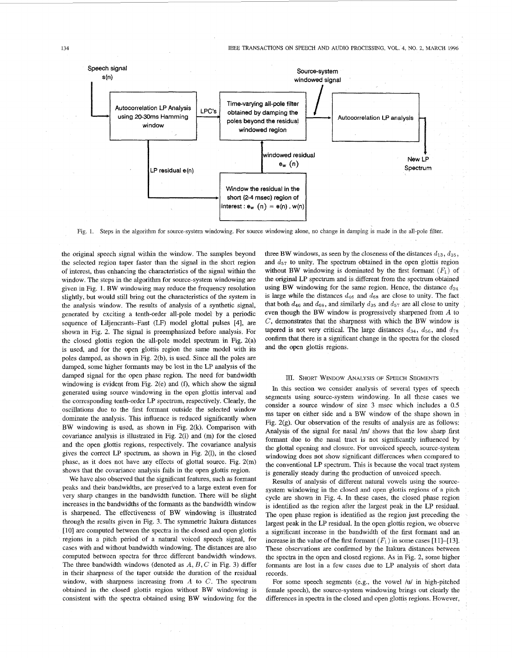

Fig. 1. Steps in the algorithm for source-system windowing. For source windowing alone, no change in damping is made in the all-pole filter.

the original speech signal within the window. The samples beyond the selected region taper faster than the signal in the short region of interest, thus enhancing the characteristics of the signal within the window. The steps in the algorithm for source-system windowing are given in Fig. **1.** BW windowing may reduce the frequency resolution slightly, but would still bring out the characteristics of the system in the analysis window. The results of analysis of a synthetic signal, generated by exciting a tenth-order all-pole model by a periodic sequence of Liljencrants-Fant (LF) model glottal pulses [4], are shown in Fig. 2. The signal is preemphasized before analysis. For the closed glottis region the all-pole model spectrum in Fig. 2(a) is used, and for the open glottis region the same model with its poles damped, as shown in Fig. 2(b), is used. Since all the poles are damped, some higher formants may be lost in the LP analysis **of** the damped signal for the open phase region. The need for bandwidth windowing is evident from Fig. 2(e) and **(f),** which show the signal generated using source windowing in the open glottis interval and the corresponding tenth-order LP spectrum, respectively. Clearly, the oscillations due to the first formant outside the selected window dominate the analysis. This influence is reduced significantly when BW windowing is used, as shown in Fig. 2(k). Comparison with covariance analysis is illustrated in Fig. 2(1) and (m) for the closed and the open glottis regions, respectively. The covariance analysis gives the correct LP spectrum, as shown in Fig. 2(1), in the closed phase, as it does not have any effects of glottal source. Fig. 2(m) shows that the covariance analysis fails in the open glottis region.

We have also observed that the significant features, such as formant peaks and their bandwidths, are preserved to a large extent even for very sharp changes in the bandwidth function. There will be slight increases in the bandwidths of the formants as the bandwidth window is sharpened. The effectiveness of BW windowing is illustrated through the results given in [Fig. 3.](#page-3-0) The symmetric Itakura distances [10] are computed between the spectra in the closed and open glottis regions in a pitch period of a natural voiced speech signal, for cases with and without bandwidth windowing. The distances are also computed between spectra for three different bandwidth windows. The three bandwidth windows (denoted as *A, B,* C in Fig. 3) differ in their sharpness of the taper outside the duration of the residual window, with sharpness increasing from *A* to C. The spectrum obtained in the closed glottis region without BW windowing is consistent with the spectra obtained using BW windowing for the three BW windows, as seen by the closeness of the distances  $d_{13}$ ,  $d_{35}$ , and *d57* to unity. The spectrum obtained in the open glottis region without BW windowing is dominated by the first formant  $(F_1)$  of the original **LP** spectrum and is different from the spectrum obtained using BW windowing for the same region. Hence, the distance  $d_{24}$ is large while the distances *d46* and *dss* are close to unity. The fact that both  $d_{46}$  and  $d_{68}$ , and similarly  $d_{35}$  and  $d_{57}$  are all close to unity even though the BW window is progressively sharpened from *A* to *C,* demonstrates that the sharpness with which the BW window is tapered is not very critical. The large distances  $d_{34}$ ,  $d_{56}$ , and  $d_{78}$ confirm that there is a significant change in the spectra for the closed and the open glottis regions.

### m. SHORT WINDOW **ANALYSIS** OF SPEECH SEGMENTS

In this section we consider analysis of several types of speech segments using source-system windowing. In all these cases we consider a source window of size 3 msec which includes a 0.5 ms taper on either side and a BW window of the shape shown in Fig. 2(g). Our observation of the results of analysis are as follows: Analysis of the signal for nasal */m/* shows that the low sharp first formant due to the nasal tract is not significantly influenced by the glottal opening and closure. For unvoiced speech, source-system windowing does not show significant differences when compared to the conventional LP spectrum. This is because the vocal tract system is generally steady during the production of unvoiced speech.

Results of analysis of different natural vowels using the sourcesystem windowing in the closed and open glottis regions of a pitch cycle are shown in [Fig. 4.](#page-3-0) In these cases, the closed phase region is identified as the region after the largest peak in the LP residual. The open phase region is identified as the region just preceding the largest peak in the LP residual. In the open glottis region, we observe a significant increase in the bandwidth of the first formant and an increase in the value of the first formant  $(F_1)$  in some cases [11]-[13]. These observations are confirmed by the Itakura distances between the spectra in the open and closed regions. As in Fig. 2, some higher formants are lost in a few cases due to LP analysis of short data records.

For some speech segments (e.g., the vowel /u/ in high-pitched female speech), the source-system windowing brings out clearly the differences in spectra in the closed and open glottis regions. However,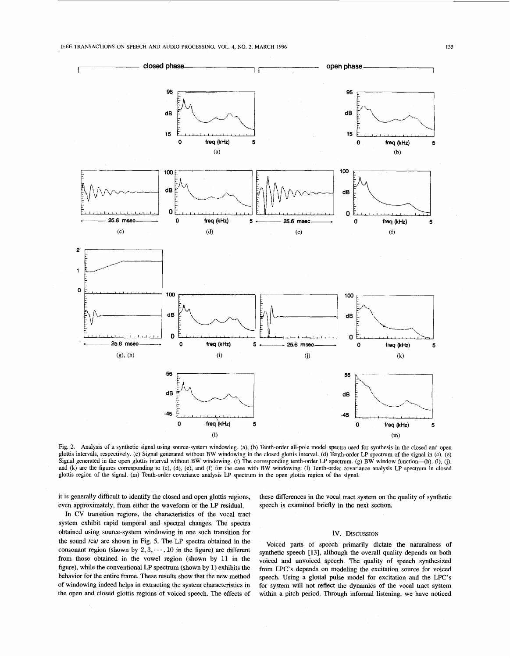

Fig. 2. Analysis of a synthetic signal using source-system windowing. (a), (b) Tenth-order all-pole model spectra used for synthesis in the closed and open glottis intervals, respectively. (c) Signal generated without BW windowing in the closed glottis interval. (d) Tenth-order LP spectrum of the signal in (c). (e) Signal generated in the open glottis interval without BW windowing. (f) The corresponding tenth-order LP spectrum. (g) BW window function—(h), (i), (j), (j), and (k) are the figures corresponding to (c), (d), (e), and (f) for the case with BW windowing. (l) Tenth-order covariance analysis LP spectrum in closed glottis region of the signal. (m) Tenth-order covariance analysis LP spectrum in the open glottis region of the signal.

it is generally difficult to identify the closed and open glottis regions, even approximately, from either the waveform or the LP residual.

these differences in the vocal tract system on the quality of synthetic speech is examined briefly in the next section.

In CV transition regions, the characteristics of the vocal tract system exhibit rapid temporal and spectral changes. The spectra obtained using source-system windowing in one such transition for the sound /ca/ are shown in Fig. 5. The LP spectra obtained in the consonant region (shown by  $2, 3, \dots, 10$  in the figure) are different from those obtained in the vowel region (shown by 11 in the figure), while the conventional LP spectrum (shown by 1) exhibits the behavior for the entire frame. These results show that the new method of windowing indeed helps in extracting the system characteristics in the open and closed glottis regions of voiced speech. The effects of

# **IV. DISCUSSION**

Voiced parts of speech primarily dictate the naturalness of synthetic speech **[13],** although the overall quality depends on both voiced and unvoiced speech. The quality of speech synthesized from LPC's depends on modeling the excitation source for voiced speech. Using a glottal pulse model for excitation and the LPC's for system will not reflect the dynamics of the vocal tract system within a pitch period. Through informal listening, we have noticed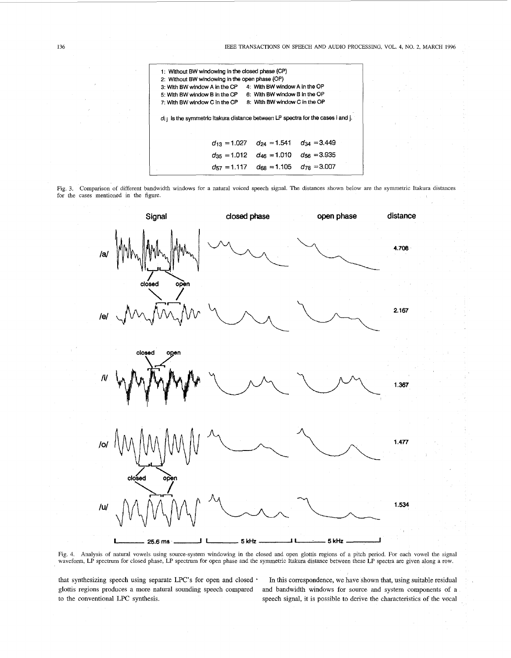<span id="page-3-0"></span>**<sup>136</sup>**IEEE TRANSACTIONS ON SPEECH *AND* AUDIO PROCESSING, VOL. 4, NO. 2, **MARCH <sup>1996</sup>**



Fig. *3.*  Comparison of different bandwidth windows for a natural voiced speech signal. The distances shown below are the symmetric Itakura distances for the cases mentioned in the figure.



waveform, LP spectrum for closed phase, LP spectrum for open phase and the symmetric Itakura distance between these LP spectra are given along a row.

that synthesizing speech using separate LPC's for open and closed \* glottis regions produces a more natural sounding speech compared to the conventional LPC synthesis.

In this correspondence, we have shown that, using suitable residual and bandwidth windows for source and system components of a speech signal, it is possible to derive the charactenstics of the vocal